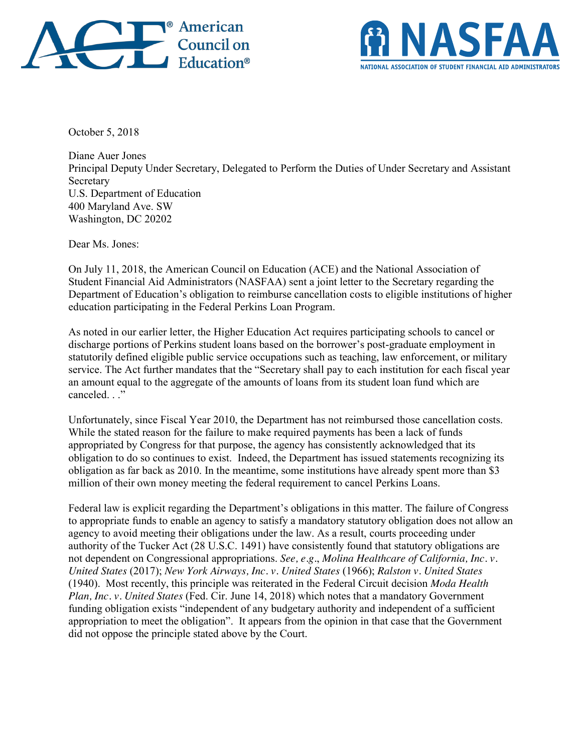



October 5, 2018

Diane Auer Jones Principal Deputy Under Secretary, Delegated to Perform the Duties of Under Secretary and Assistant **Secretary** U.S. Department of Education 400 Maryland Ave. SW Washington, DC 20202

Dear Ms. Jones:

On July 11, 2018, the American Council on Education (ACE) and the National Association of Student Financial Aid Administrators (NASFAA) sent a joint letter to the Secretary regarding the Department of Education's obligation to reimburse cancellation costs to eligible institutions of higher education participating in the Federal Perkins Loan Program.

As noted in our earlier letter, the Higher Education Act requires participating schools to cancel or discharge portions of Perkins student loans based on the borrower's post-graduate employment in statutorily defined eligible public service occupations such as teaching, law enforcement, or military service. The Act further mandates that the "Secretary shall pay to each institution for each fiscal year an amount equal to the aggregate of the amounts of loans from its student loan fund which are canceled ."

Unfortunately, since Fiscal Year 2010, the Department has not reimbursed those cancellation costs. While the stated reason for the failure to make required payments has been a lack of funds appropriated by Congress for that purpose, the agency has consistently acknowledged that its obligation to do so continues to exist. Indeed, the Department has issued statements recognizing its obligation as far back as 2010. In the meantime, some institutions have already spent more than \$3 million of their own money meeting the federal requirement to cancel Perkins Loans.

Federal law is explicit regarding the Department's obligations in this matter. The failure of Congress to appropriate funds to enable an agency to satisfy a mandatory statutory obligation does not allow an agency to avoid meeting their obligations under the law. As a result, courts proceeding under authority of the Tucker Act (28 U.S.C. 1491) have consistently found that statutory obligations are not dependent on Congressional appropriations. *See, e.g.*, *Molina Healthcare of California, Inc. v. United States* (2017); *New York Airways, Inc. v. United States* (1966); *Ralston v. United States* (1940). Most recently, this principle was reiterated in the Federal Circuit decision *Moda Health Plan, Inc. v. United States* (Fed. Cir. June 14, 2018) which notes that a mandatory Government funding obligation exists "independent of any budgetary authority and independent of a sufficient appropriation to meet the obligation". It appears from the opinion in that case that the Government did not oppose the principle stated above by the Court.